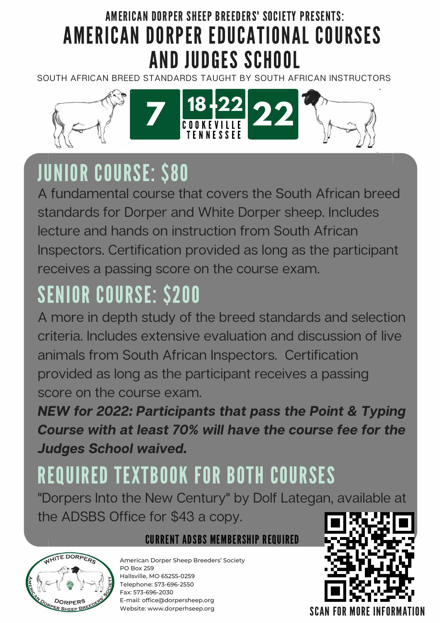# AMERICAN DORPER SHEEP BREEDERS' SOCIETY PRESENTS: AMERICAN DORPER EDUCATIONAL COURSES AND JUDGES SCHOOL

SOUTH AFRICAN BREED STANDARDS TAUGHT BY SOUTH AFRICAN INSTRUCTORS



# JUNIOR COURSE: \$80

A fundamental course that covers the South African breed standards for Dorper and White Dorper sheep. Includes lecture and hands on instruction from South African Inspectors. Certification provided as long as the participant receives a passing score on the course exam.

# SENIOR COURSE: \$200

A more in depth study of the breed standards and selection criteria. Includes extensive evaluation and discussion of live animals from South African Inspectors. Certification provided as long as the participant receives a passing score on the course exam.

**NEW for 2022: Participants that pass the Point & Typing Course with at least 70% will have the course fee for the Judges School waived.**

# REQUIRED TEXTBOOK FOR BOTH COURSES

"Dorpers Into the New Century" by Dolf Lategan, available at the ADSBS Office for \$43 a copy.



## CURRENT ADSBS MEMBERSHIP REQUIRED

American Dorper Sheep Breeders' Society PO Box 259 Hallsville, MO 65255-0259 Telephone: 573-696-2550 Fax: 573-696-2030 E-mail: office@dorpersheep.org Website: www.dorperhseep.org

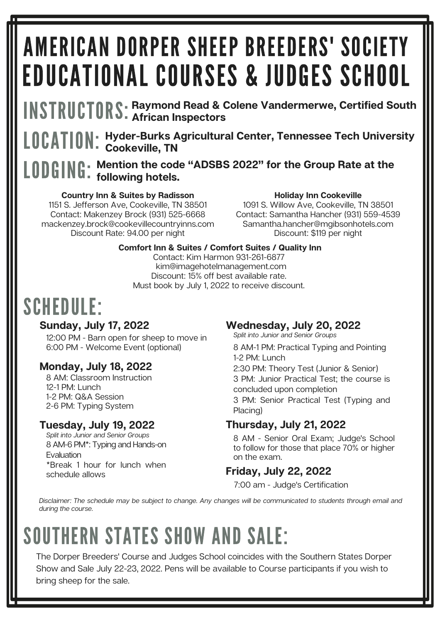# AMERICAN DORPER SHEEP BREEDERS' SOCIETY EDUCATIONAL COURSES & JUDGES SCHOOL

INSTRUCTORS: **Raymond Read & Colene Vandermerwe, Certified South African Inspectors**

LOCATION: **Hyder-Burks Agricultural Center, Tennessee Tech University Cookeville, TN**

## LODGING: **Mention the code "ADSBS 2022" for the Group Rate at the following hotels.**

#### **Country Inn & Suites by Radisson**

1151 S. Jefferson Ave, Cookeville, TN 38501 Contact: Makenzey Brock (931) 525-6668 mackenzey.brock@cookevillecountryinns.com Discount Rate: 94.00 per night

#### **Holiday Inn Cookeville**

1091 S. Willow Ave, Cookeville, TN 38501 Contact: Samantha Hancher (931) 559-4539 Samantha.hancher@mgibsonhotels.com Discount: \$119 per night

#### **Comfort Inn & Suites / Comfort Suites / Quality Inn**

Contact: Kim Harmon 931-261-6877 kim@imagehotelmanagement.com Discount: 15% off best available rate. Must book by July 1, 2022 to receive discount.

# SCHEDULE:

#### **Sunday, July 17, 2022**

12:00 PM - Barn open for sheep to move in 6:00 PM - Welcome Event (optional)

## **Monday, July 18, 2022**

8 AM: Classroom Instruction 12-1 PM: Lunch 1-2 PM: Q&A Session 2-6 PM: Typing System

## **Tuesday, July 19, 2022**

8 AM-6 PM\*: Typing and Hands-on **Evaluation** \*Break 1 hour for lunch when schedule allows Split into Junior and Senior Groups

## **Wednesday, July 20, 2022**

8 AM-1 PM: Practical Typing and Pointing 1-2 PM: Lunch 2:30 PM: Theory Test (Junior & Senior) 3 PM: Junior Practical Test; the course is concluded upon completion 3 PM: Senior Practical Test (Typing and Placing) Split into Junior and Senior Groups

## **Thursday, July 21, 2022**

8 AM - Senior Oral Exam; Judge's School to follow for those that place 70% or higher on the exam.

## **Friday, July 22, 2022**

7:00 am - Judge's Certification

Disclaimer: The schedule may be subject to change. Any changes will be communicated to students through email and during the course.

# SOUTHERN STATES SHOW AND SALE:

The Dorper Breeders' Course and Judges School coincides with the Southern States Dorper Show and Sale July 22-23, 2022. Pens will be available to Course participants if you wish to bring sheep for the sale.